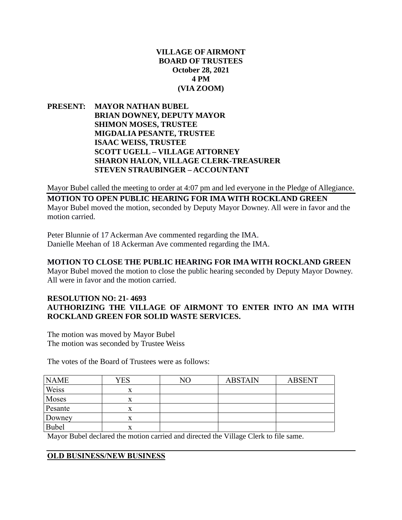## **VILLAGE OF AIRMONT BOARD OF TRUSTEES October 28, 2021 4 PM (VIA ZOOM)**

**PRESENT: MAYOR NATHAN BUBEL BRIAN DOWNEY, DEPUTY MAYOR SHIMON MOSES, TRUSTEE MIGDALIA PESANTE, TRUSTEE ISAAC WEISS, TRUSTEE SCOTT UGELL – VILLAGE ATTORNEY SHARON HALON, VILLAGE CLERK-TREASURER STEVEN STRAUBINGER – ACCOUNTANT**

Mayor Bubel called the meeting to order at 4:07 pm and led everyone in the Pledge of Allegiance.

**MOTION TO OPEN PUBLIC HEARING FOR IMA WITH ROCKLAND GREEN** Mayor Bubel moved the motion, seconded by Deputy Mayor Downey. All were in favor and the motion carried.

Peter Blunnie of 17 Ackerman Ave commented regarding the IMA. Danielle Meehan of 18 Ackerman Ave commented regarding the IMA.

## **MOTION TO CLOSE THE PUBLIC HEARING FOR IMA WITH ROCKLAND GREEN**

Mayor Bubel moved the motion to close the public hearing seconded by Deputy Mayor Downey. All were in favor and the motion carried.

## **RESOLUTION NO: 21- 4693 AUTHORIZING THE VILLAGE OF AIRMONT TO ENTER INTO AN IMA WITH ROCKLAND GREEN FOR SOLID WASTE SERVICES.**

The motion was moved by Mayor Bubel The motion was seconded by Trustee Weiss

The votes of the Board of Trustees were as follows:

| <b>NAME</b>  | <b>YES</b> | NΟ | <b>ABSTAIN</b> | <b>ABSENT</b> |
|--------------|------------|----|----------------|---------------|
| Weiss        | X          |    |                |               |
| Moses        | x          |    |                |               |
| Pesante      | x          |    |                |               |
| Downey       | x          |    |                |               |
| <b>Bubel</b> | x          |    |                |               |

Mayor Bubel declared the motion carried and directed the Village Clerk to file same.

## **OLD BUSINESS/NEW BUSINESS**